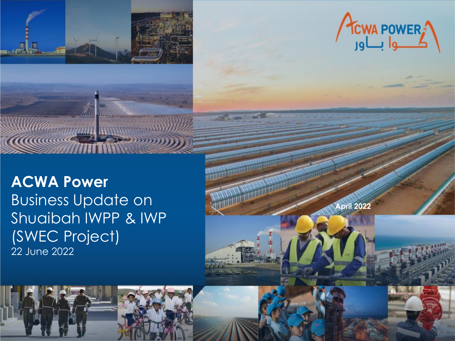



**April 2022**

**COMMERCIAL** 

## **ACWA Power** Business Update on Shuaibah IWPP & IWP (SWEC Project) 22 June 2022

ACWA POWER INVESTOR RELATIONS | [www.acwapower.com](http://www.acwapower.com/) | [ir@acwapower.com](mailto:ir@acwapower.com)

**MARKHANGER**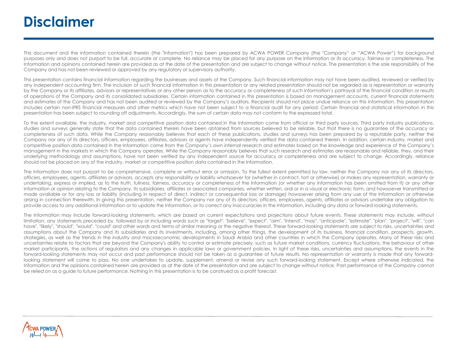## **Disclaimer**

This document and the information contained therein (the "Information") has been prepared by ACWA POWER Company (the "Company" or "ACWA Power") for background purposes only and does not purport to be full, accurate or complete. No reliance may be placed for any purpose on the Information or its accuracy, fairness or completeness. The Information and opinions contained herein are provided as at the date of the presentation and are subject to change without notice. The presentation is the sole responsibility of the Company and has not been reviewed or approved by any regulatory or supervisory authority.

This presentation contains financial information regarding the businesses and assets of the Company. Such financial information may not have been audited, reviewed or verified by any independent accounting firm. The inclusion of such financial information in this presentation or any related presentation should not be regarded as a representation or warranty by the Company or its affiliates, advisors or representatives or any other person as to the accuracy or completeness of such information's portrayal of the financial condition or results of operations of the Company and its consolidated subsidiaries. Certain information contained in this presentation is based on management accounts, current financial statements and estimates of the Company and has not been audited or reviewed by the Company's auditors. Recipients should not place undue reliance on this information. This presentation includes certain non-IFRS financial measures and other metrics which have not been subject to a financial audit for any period. Certain financial and statistical information in this presentation has been subject to rounding off adjustments. Accordingly, the sum of certain data may not conform to the expressed total.

To the extent available, the industry, market and competitive position data contained in the Information come from official or third party sources. Third party industry publications, studies and surveys generally state that the data contained therein have been obtained from sources believed to be reliable, but that there is no guarantee of the accuracy or completeness of such data. While the Company reasonably believes that each of these publications, studies and surveys has been prepared by a reputable party, neither the Company nor any of its directors, officers, employees, affiliates, advisors or agents have independently verified the data contained therein. In addition, certain industry, market and competitive position data contained in the Information come from the Company's own internal research and estimates based on the knowledge and experience of the Company's management in the markets in which the Company operates. While the Company reasonably believes that such research and estimates are reasonable and reliable, they, and their underlying methodology and assumptions, have not been verified by any independent source for accuracy or completeness and are subject to change. Accordingly, reliance should not be placed on any of the industry, market or competitive position data contained in the Information.

The Information does not purport to be comprehensive, complete or without error or omission. To the fullest extent permitted by law, neither the Company nor any of its directors, officers, employees, agents, affiliates or advisors, accepts any responsibility or liability whatsoever for (whether in contract, tort or otherwise) or makes any representation, warranty or undertaking, express or implied, as to the truth, fullness, fairness, accuracy or completeness of the Information (or whether any information has been omitted from it) or any other information or opinion relating to the Company, its subsidiaries, affiliates or associated companies, whether written, oral or in a visual or electronic form, and howsoever transmitted or made available or for any loss or liability (including in respect of direct, indirect or consequential loss or damage) howsoever arising from any use of the Information or otherwise arising in connection therewith. In giving this presentation, neither the Company nor any of its directors, officers, employees, agents, affiliates or advisors undertake any obligation to provide access to any additional information or to update the Information, or to correct any inaccuracies in the Information, including any data or forward-looking statements.

The Information may include forward-looking statements, which are based on current expectations and projections about future events. These statements may include, without limitation, any statements preceded by, followed by or including words such as "target", "believe", "expect", "aim", "intend", "may", "anticipate", "estimate", "plan", "project", "will", "can have", "likely", "should", "would", "could" and other words and terms of similar meaning or the negative thereof. These forward-looking statements are subject to risks, uncertainties and assumptions about the Company and its subsidiaries and its investments, including, among other things, the development of its business, financial condition, prospects, growth, strategies, as well as the trends in the industry and macroeconomic developments in Saudi Arabia and other countries in which the Company operates. Many of these risks and uncertainties relate to factors that are beyond the Company's ability to control or estimate precisely, such as future market conditions, currency fluctuations, the behaviour of other market participants, the actions of regulators and any changes in applicable laws or government policies. In light of these risks, uncertainties and assumptions, the events in the forward-looking statements may not occur and past performance should not be taken as a guarantee of future results. No representation or warranty is made that any forwardlooking statement will come to pass. No one undertakes to update, supplement, amend or revise any such forward-looking statement. Except where otherwise indicated, the Information and the opinions contained herein are provided as at the date of the presentation and are subject to change without notice. Past performance of the Company cannot be relied on as a guide to future performance. Nothing in this presentation is to be construed as a profit forecast.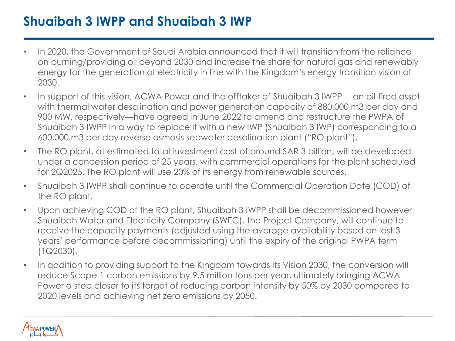## **Shuaibah 3 IWPP and Shuaibah 3 IWP**

- In 2020, the Government of Saudi Arabia announced that it will transition from the reliance on burning/providing oil beyond 2030 and increase the share for natural gas and renewably energy for the generation of electricity in line with the Kingdom's energy transition vision of 2030.
- In support of this vision, ACWA Power and the offtaker of Shuaibah 3 IWPP— an oil-fired asset with thermal water desalination and power generation capacity of 880,000 m3 per day and 900 MW, respectively—have agreed in June 2022 to amend and restructure the PWPA of Shuaibah 3 IWPP in a way to replace it with a new IWP (Shuaibah 3 IWP) corresponding to a 600,000 m3 per day reverse osmosis seawater desalination plant ("RO plant").
- The RO plant, at estimated total investment cost of around SAR 3 billion, will be developed under a concession period of 25 years, with commercial operations for the plant scheduled for 2Q2025. The RO plant will use 20% of its energy from renewable sources.
- Shuaibah 3 IWPP shall continue to operate until the Commercial Operation Date (COD) of the RO plant.
- Upon achieving COD of the RO plant, Shuaibah 3 IWPP shall be decommissioned however Shuaibah Water and Electricity Company (SWEC), the Project Company, will continue to receive the capacity payments (adjusted using the average availability based on last 3 years' performance before decommissioning) until the expiry of the original PWPA term (1Q2030).
- In addition to providing support to the Kingdom towards its Vision 2030, the conversion will reduce Scope 1 carbon emissions by 9.5 million tons per year, ultimately bringing ACWA Power a step closer to its target of reducing carbon intensity by 50% by 2030 compared to 2020 levels and achieving net zero emissions by 2050.